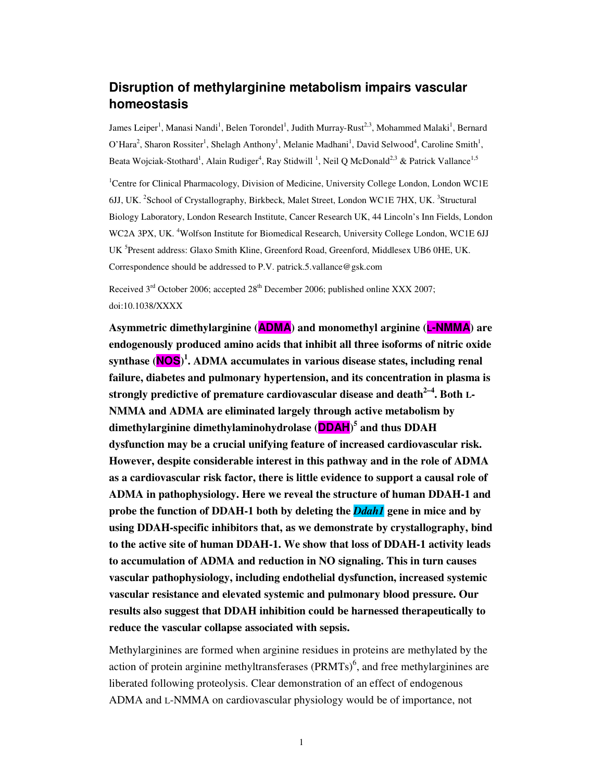# **Disruption of methylarginine metabolism impairs vascular homeostasis**

James Leiper<sup>1</sup>, Manasi Nandi<sup>1</sup>, Belen Torondel<sup>1</sup>, Judith Murray-Rust<sup>2,3</sup>, Mohammed Malaki<sup>1</sup>, Bernard O'Hara<sup>2</sup>, Sharon Rossiter<sup>1</sup>, Shelagh Anthony<sup>1</sup>, Melanie Madhani<sup>1</sup>, David Selwood<sup>4</sup>, Caroline Smith<sup>1</sup>, Beata Wojciak-Stothard<sup>1</sup>, Alain Rudiger<sup>4</sup>, Ray Stidwill<sup>1</sup>, Neil Q McDonald<sup>2,3</sup> & Patrick Vallance<sup>1,5</sup>

<sup>1</sup>Centre for Clinical Pharmacology, Division of Medicine, University College London, London WC1E 6JJ, UK. <sup>2</sup>School of Crystallography, Birkbeck, Malet Street, London WC1E 7HX, UK. <sup>3</sup>Structural Biology Laboratory, London Research Institute, Cancer Research UK, 44 Lincoln's Inn Fields, London WC2A 3PX, UK. <sup>4</sup>Wolfson Institute for Biomedical Research, University College London, WC1E 6JJ UK<sup>5</sup>Present address: Glaxo Smith Kline, Greenford Road, Greenford, Middlesex UB6 0HE, UK. Correspondence should be addressed to P.V. patrick.5.vallance@gsk.com

Received  $3<sup>rd</sup>$  October 2006; accepted  $28<sup>th</sup>$  December 2006; published online XXX 2007; doi:10.1038/XXXX

**Asymmetric dimethylarginine (ADMA) and monomethyl arginine (L-NMMA) are endogenously produced amino acids that inhibit all three isoforms of nitric oxide synthase (NOS) 1 . ADMA accumulates in various disease states, including renal failure, diabetes and pulmonary hypertension, and its concentration in plasma is strongly predictive of premature cardiovascular disease and death2–4. Both L-NMMA and ADMA are eliminated largely through active metabolism by dimethylarginine dimethylaminohydrolase (DDAH) 5 and thus DDAH dysfunction may be a crucial unifying feature of increased cardiovascular risk. However, despite considerable interest in this pathway and in the role of ADMA as a cardiovascular risk factor, there is little evidence to support a causal role of ADMA in pathophysiology. Here we reveal the structure of human DDAH-1 and probe the function of DDAH-1 both by deleting the** *Ddah1* **gene in mice and by using DDAH-specific inhibitors that, as we demonstrate by crystallography, bind to the active site of human DDAH-1. We show that loss of DDAH-1 activity leads to accumulation of ADMA and reduction in NO signaling. This in turn causes vascular pathophysiology, including endothelial dysfunction, increased systemic vascular resistance and elevated systemic and pulmonary blood pressure. Our results also suggest that DDAH inhibition could be harnessed therapeutically to reduce the vascular collapse associated with sepsis.** 

Methylarginines are formed when arginine residues in proteins are methylated by the action of protein arginine methyltransferases  $(PRMTs)^6$ , and free methylarginines are liberated following proteolysis. Clear demonstration of an effect of endogenous ADMA and L-NMMA on cardiovascular physiology would be of importance, not

1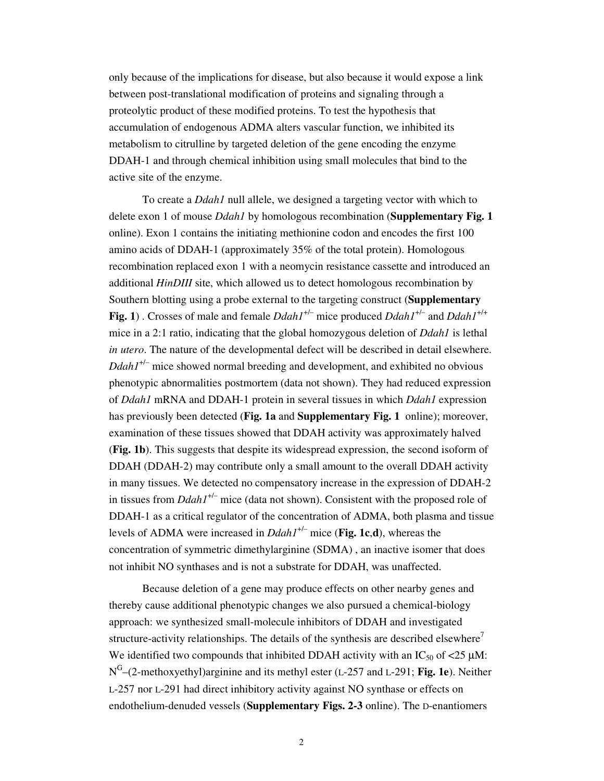only because of the implications for disease, but also because it would expose a link between post-translational modification of proteins and signaling through a proteolytic product of these modified proteins. To test the hypothesis that accumulation of endogenous ADMA alters vascular function, we inhibited its metabolism to citrulline by targeted deletion of the gene encoding the enzyme DDAH-1 and through chemical inhibition using small molecules that bind to the active site of the enzyme.

To create a *Ddah1* null allele, we designed a targeting vector with which to delete exon 1 of mouse *Ddah1* by homologous recombination (**Supplementary Fig. 1**  online). Exon 1 contains the initiating methionine codon and encodes the first 100 amino acids of DDAH-1 (approximately 35% of the total protein). Homologous recombination replaced exon 1 with a neomycin resistance cassette and introduced an additional *HinDIII* site, which allowed us to detect homologous recombination by Southern blotting using a probe external to the targeting construct (**Supplementary Fig. 1**) . Crosses of male and female *Ddah1*+/– mice produced *Ddah1*+/– and *Ddah1*+/+ mice in a 2:1 ratio, indicating that the global homozygous deletion of *Ddah1* is lethal *in utero*. The nature of the developmental defect will be described in detail elsewhere.  $Ddah1^{+/-}$  mice showed normal breeding and development, and exhibited no obvious phenotypic abnormalities postmortem (data not shown). They had reduced expression of *Ddah1* mRNA and DDAH-1 protein in several tissues in which *Ddah1* expression has previously been detected (**Fig. 1a** and **Supplementary Fig. 1** online); moreover, examination of these tissues showed that DDAH activity was approximately halved (**Fig. 1b**). This suggests that despite its widespread expression, the second isoform of DDAH (DDAH-2) may contribute only a small amount to the overall DDAH activity in many tissues. We detected no compensatory increase in the expression of DDAH-2 in tissues from  $DdahI^{+/-}$  mice (data not shown). Consistent with the proposed role of DDAH-1 as a critical regulator of the concentration of ADMA, both plasma and tissue levels of ADMA were increased in *Ddah1*+/– mice (**Fig. 1c**,**d**), whereas the concentration of symmetric dimethylarginine (SDMA) , an inactive isomer that does not inhibit NO synthases and is not a substrate for DDAH, was unaffected.

Because deletion of a gene may produce effects on other nearby genes and thereby cause additional phenotypic changes we also pursued a chemical-biology approach: we synthesized small-molecule inhibitors of DDAH and investigated structure-activity relationships. The details of the synthesis are described elsewhere' We identified two compounds that inhibited DDAH activity with an  $IC_{50}$  of <25  $\mu$ M: N G –(2-methoxyethyl)arginine and its methyl ester (L-257 and L-291; **Fig. 1e**). Neither L-257 nor L-291 had direct inhibitory activity against NO synthase or effects on endothelium-denuded vessels (**Supplementary Figs. 2-3** online). The D-enantiomers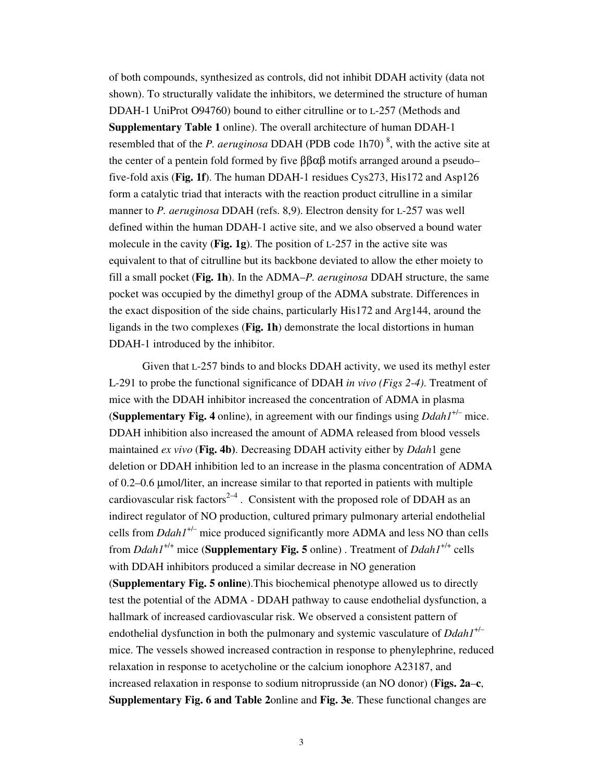of both compounds, synthesized as controls, did not inhibit DDAH activity (data not shown). To structurally validate the inhibitors, we determined the structure of human DDAH-1 UniProt O94760) bound to either citrulline or to L-257 (Methods and **Supplementary Table 1** online). The overall architecture of human DDAH-1 resembled that of the *P. aeruginosa* DDAH (PDB code 1h70)<sup>8</sup>, with the active site at the center of a pentein fold formed by five ββαβ motifs arranged around a pseudo– five-fold axis (**Fig. 1f**). The human DDAH-1 residues Cys273, His172 and Asp126 form a catalytic triad that interacts with the reaction product citrulline in a similar manner to *P. aeruginosa* DDAH (refs. 8,9). Electron density for L-257 was well defined within the human DDAH-1 active site, and we also observed a bound water molecule in the cavity (**Fig. 1g**). The position of L-257 in the active site was equivalent to that of citrulline but its backbone deviated to allow the ether moiety to fill a small pocket (**Fig. 1h**). In the ADMA–*P. aeruginosa* DDAH structure, the same pocket was occupied by the dimethyl group of the ADMA substrate. Differences in the exact disposition of the side chains, particularly His172 and Arg144, around the ligands in the two complexes (**Fig. 1h**) demonstrate the local distortions in human DDAH-1 introduced by the inhibitor.

Given that L-257 binds to and blocks DDAH activity, we used its methyl ester L-291 to probe the functional significance of DDAH *in vivo (Figs 2-4)*. Treatment of mice with the DDAH inhibitor increased the concentration of ADMA in plasma **(Supplementary Fig. 4** online), in agreement with our findings using  $Ddah1^{+/-}$  mice. DDAH inhibition also increased the amount of ADMA released from blood vessels maintained *ex vivo* (**Fig. 4b)**. Decreasing DDAH activity either by *Ddah*1 gene deletion or DDAH inhibition led to an increase in the plasma concentration of ADMA of 0.2–0.6 µmol/liter, an increase similar to that reported in patients with multiple cardiovascular risk factors<sup>2–4</sup>. Consistent with the proposed role of DDAH as an indirect regulator of NO production, cultured primary pulmonary arterial endothelial cells from *Ddah1*+/– mice produced significantly more ADMA and less NO than cells from *Ddah1*+/+ mice (**Supplementary Fig. 5** online) . Treatment of *Ddah1*+/+ cells with DDAH inhibitors produced a similar decrease in NO generation (**Supplementary Fig. 5 online**).This biochemical phenotype allowed us to directly test the potential of the ADMA - DDAH pathway to cause endothelial dysfunction, a hallmark of increased cardiovascular risk. We observed a consistent pattern of endothelial dysfunction in both the pulmonary and systemic vasculature of *Ddah1*+/– mice. The vessels showed increased contraction in response to phenylephrine, reduced relaxation in response to acetycholine or the calcium ionophore A23187, and increased relaxation in response to sodium nitroprusside (an NO donor) (**Figs. 2a**–**c**, **Supplementary Fig. 6 and Table 2**online and **Fig. 3e**. These functional changes are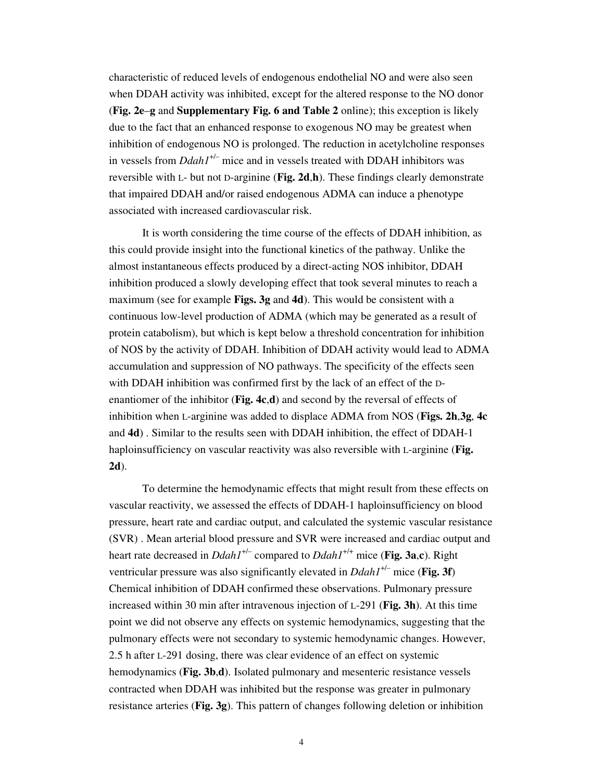characteristic of reduced levels of endogenous endothelial NO and were also seen when DDAH activity was inhibited, except for the altered response to the NO donor (**Fig. 2e**–**g** and **Supplementary Fig. 6 and Table 2** online); this exception is likely due to the fact that an enhanced response to exogenous NO may be greatest when inhibition of endogenous NO is prolonged. The reduction in acetylcholine responses in vessels from *Ddah1<sup>+/-</sup>* mice and in vessels treated with DDAH inhibitors was reversible with L- but not D-arginine (**Fig. 2d**,**h**). These findings clearly demonstrate that impaired DDAH and/or raised endogenous ADMA can induce a phenotype associated with increased cardiovascular risk.

It is worth considering the time course of the effects of DDAH inhibition, as this could provide insight into the functional kinetics of the pathway. Unlike the almost instantaneous effects produced by a direct-acting NOS inhibitor, DDAH inhibition produced a slowly developing effect that took several minutes to reach a maximum (see for example **Figs. 3g** and **4d**). This would be consistent with a continuous low-level production of ADMA (which may be generated as a result of protein catabolism), but which is kept below a threshold concentration for inhibition of NOS by the activity of DDAH. Inhibition of DDAH activity would lead to ADMA accumulation and suppression of NO pathways. The specificity of the effects seen with DDAH inhibition was confirmed first by the lack of an effect of the Denantiomer of the inhibitor (**Fig. 4c**,**d**) and second by the reversal of effects of inhibition when L-arginine was added to displace ADMA from NOS (**Figs. 2h**,**3g**, **4c**  and **4d**) . Similar to the results seen with DDAH inhibition, the effect of DDAH-1 haploinsufficiency on vascular reactivity was also reversible with L-arginine (**Fig. 2d**).

To determine the hemodynamic effects that might result from these effects on vascular reactivity, we assessed the effects of DDAH-1 haploinsufficiency on blood pressure, heart rate and cardiac output, and calculated the systemic vascular resistance (SVR) . Mean arterial blood pressure and SVR were increased and cardiac output and heart rate decreased in *Ddah1*+/– compared to *Ddah1*+/+ mice (**Fig. 3a**,**c**). Right ventricular pressure was also significantly elevated in *Ddah1*+/– mice (**Fig. 3f**) Chemical inhibition of DDAH confirmed these observations. Pulmonary pressure increased within 30 min after intravenous injection of L-291 (**Fig. 3h**). At this time point we did not observe any effects on systemic hemodynamics, suggesting that the pulmonary effects were not secondary to systemic hemodynamic changes. However, 2.5 h after L-291 dosing, there was clear evidence of an effect on systemic hemodynamics (**Fig. 3b**,**d**). Isolated pulmonary and mesenteric resistance vessels contracted when DDAH was inhibited but the response was greater in pulmonary resistance arteries (**Fig. 3g**). This pattern of changes following deletion or inhibition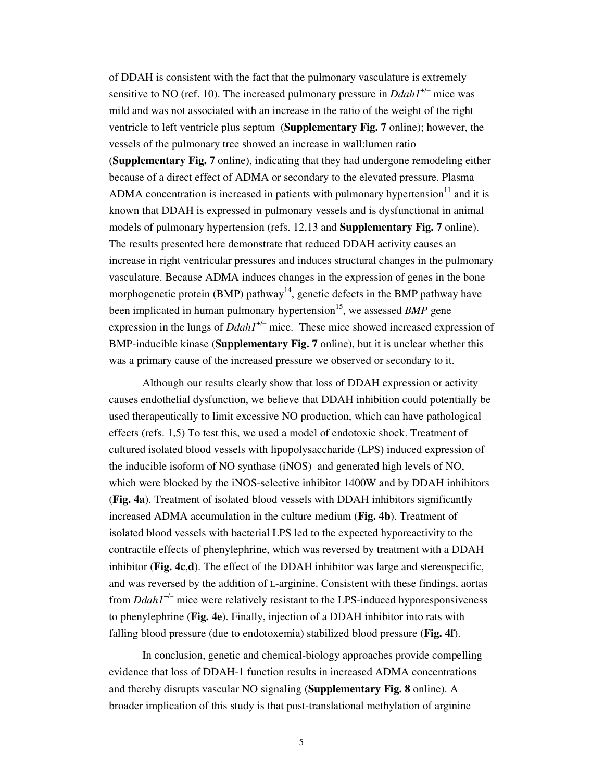of DDAH is consistent with the fact that the pulmonary vasculature is extremely sensitive to NO (ref. 10). The increased pulmonary pressure in *Ddah1*+/– mice was mild and was not associated with an increase in the ratio of the weight of the right ventricle to left ventricle plus septum (**Supplementary Fig. 7** online); however, the vessels of the pulmonary tree showed an increase in wall:lumen ratio (**Supplementary Fig. 7** online), indicating that they had undergone remodeling either because of a direct effect of ADMA or secondary to the elevated pressure. Plasma ADMA concentration is increased in patients with pulmonary hypertension<sup>11</sup> and it is known that DDAH is expressed in pulmonary vessels and is dysfunctional in animal models of pulmonary hypertension (refs. 12,13 and **Supplementary Fig. 7** online). The results presented here demonstrate that reduced DDAH activity causes an increase in right ventricular pressures and induces structural changes in the pulmonary vasculature. Because ADMA induces changes in the expression of genes in the bone morphogenetic protein (BMP) pathway<sup>14</sup>, genetic defects in the BMP pathway have been implicated in human pulmonary hypertension<sup>15</sup>, we assessed *BMP* gene expression in the lungs of *Ddah1<sup>+/-</sup>* mice. These mice showed increased expression of BMP-inducible kinase (**Supplementary Fig. 7** online), but it is unclear whether this was a primary cause of the increased pressure we observed or secondary to it.

Although our results clearly show that loss of DDAH expression or activity causes endothelial dysfunction, we believe that DDAH inhibition could potentially be used therapeutically to limit excessive NO production, which can have pathological effects (refs. 1,5) To test this, we used a model of endotoxic shock. Treatment of cultured isolated blood vessels with lipopolysaccharide (LPS) induced expression of the inducible isoform of NO synthase (iNOS) and generated high levels of NO, which were blocked by the iNOS-selective inhibitor 1400W and by DDAH inhibitors (**Fig. 4a**). Treatment of isolated blood vessels with DDAH inhibitors significantly increased ADMA accumulation in the culture medium (**Fig. 4b**). Treatment of isolated blood vessels with bacterial LPS led to the expected hyporeactivity to the contractile effects of phenylephrine, which was reversed by treatment with a DDAH inhibitor (**Fig. 4c**,**d**). The effect of the DDAH inhibitor was large and stereospecific, and was reversed by the addition of L-arginine. Consistent with these findings, aortas from *Ddah1*+/– mice were relatively resistant to the LPS-induced hyporesponsiveness to phenylephrine (**Fig. 4e**). Finally, injection of a DDAH inhibitor into rats with falling blood pressure (due to endotoxemia) stabilized blood pressure (**Fig. 4f**).

In conclusion, genetic and chemical-biology approaches provide compelling evidence that loss of DDAH-1 function results in increased ADMA concentrations and thereby disrupts vascular NO signaling (**Supplementary Fig. 8** online). A broader implication of this study is that post-translational methylation of arginine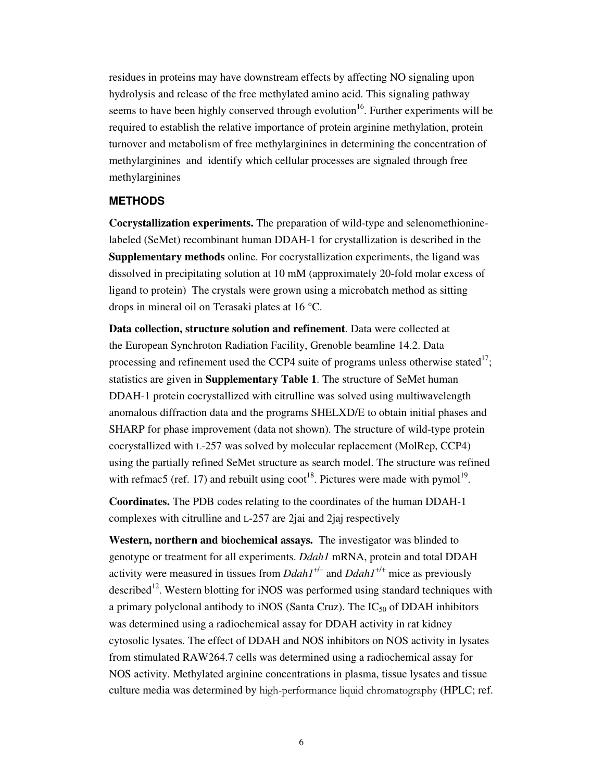residues in proteins may have downstream effects by affecting NO signaling upon hydrolysis and release of the free methylated amino acid. This signaling pathway seems to have been highly conserved through evolution<sup>16</sup>. Further experiments will be required to establish the relative importance of protein arginine methylation, protein turnover and metabolism of free methylarginines in determining the concentration of methylarginines and identify which cellular processes are signaled through free methylarginines

## **METHODS**

**Cocrystallization experiments.** The preparation of wild-type and selenomethioninelabeled (SeMet) recombinant human DDAH-1 for crystallization is described in the **Supplementary methods** online. For cocrystallization experiments, the ligand was dissolved in precipitating solution at 10 mM (approximately 20-fold molar excess of ligand to protein) The crystals were grown using a microbatch method as sitting drops in mineral oil on Terasaki plates at 16 °C.

**Data collection, structure solution and refinement**. Data were collected at the European Synchroton Radiation Facility, Grenoble beamline 14.2. Data processing and refinement used the CCP4 suite of programs unless otherwise stated<sup>17</sup>; statistics are given in **Supplementary Table 1**. The structure of SeMet human DDAH-1 protein cocrystallized with citrulline was solved using multiwavelength anomalous diffraction data and the programs SHELXD/E to obtain initial phases and SHARP for phase improvement (data not shown). The structure of wild-type protein cocrystallized with L-257 was solved by molecular replacement (MolRep, CCP4) using the partially refined SeMet structure as search model. The structure was refined with refmac5 (ref. 17) and rebuilt using  $\text{cost}^{18}$ . Pictures were made with pymol<sup>19</sup>.

**Coordinates.** The PDB codes relating to the coordinates of the human DDAH-1 complexes with citrulline and L-257 are 2jai and 2jaj respectively

**Western, northern and biochemical assays.** The investigator was blinded to genotype or treatment for all experiments. *Ddah1* mRNA, protein and total DDAH activity were measured in tissues from  $Ddah1^{+/-}$  and  $Ddah1^{+/+}$  mice as previously described<sup>12</sup>. Western blotting for iNOS was performed using standard techniques with a primary polyclonal antibody to iNOS (Santa Cruz). The  $IC_{50}$  of DDAH inhibitors was determined using a radiochemical assay for DDAH activity in rat kidney cytosolic lysates. The effect of DDAH and NOS inhibitors on NOS activity in lysates from stimulated RAW264.7 cells was determined using a radiochemical assay for NOS activity. Methylated arginine concentrations in plasma, tissue lysates and tissue culture media was determined by high-performance liquid chromatography (HPLC; ref.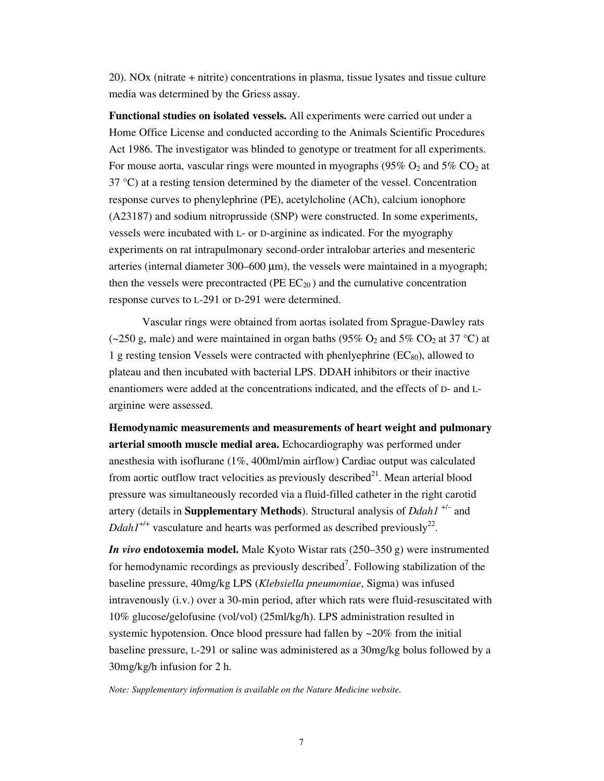20). NOx (nitrate + nitrite) concentrations in plasma, tissue lysates and tissue culture media was determined by the Griess assay.

**Functional studies on isolated vessels.** All experiments were carried out under a Home Office License and conducted according to the Animals Scientific Procedures Act 1986. The investigator was blinded to genotype or treatment for all experiments. For mouse aorta, vascular rings were mounted in myographs (95%  $O_2$  and 5%  $CO_2$  at 37 °C) at a resting tension determined by the diameter of the vessel. Concentration response curves to phenylephrine (PE), acetylcholine (ACh), calcium ionophore (A23187) and sodium nitroprusside (SNP) were constructed. In some experiments, vessels were incubated with L- or D-arginine as indicated. For the myography experiments on rat intrapulmonary second-order intralobar arteries and mesenteric arteries (internal diameter  $300-600 \mu m$ ), the vessels were maintained in a myograph; then the vessels were precontracted (PE  $EC_{20}$ ) and the cumulative concentration response curves to L-291 or D-291 were determined.

Vascular rings were obtained from aortas isolated from Sprague-Dawley rats (~250 g, male) and were maintained in organ baths (95% O<sub>2</sub> and 5% CO<sub>2</sub> at 37 °C) at 1 g resting tension Vessels were contracted with phenlyephrine  $(EC_{80})$ , allowed to plateau and then incubated with bacterial LPS. DDAH inhibitors or their inactive enantiomers were added at the concentrations indicated, and the effects of D- and Larginine were assessed.

**Hemodynamic measurements and measurements of heart weight and pulmonary arterial smooth muscle medial area.** Echocardiography was performed under anesthesia with isoflurane (1%, 400ml/min airflow) Cardiac output was calculated from aortic outflow tract velocities as previously described $^{21}$ . Mean arterial blood pressure was simultaneously recorded via a fluid-filled catheter in the right carotid artery (details in **Supplementary Methods**). Structural analysis of *Ddah1* +/– and *Ddah1*<sup> $+/-$ </sup> vasculature and hearts was performed as described previously<sup>22</sup>.

*In vivo* **endotoxemia model.** Male Kyoto Wistar rats (250–350 g) were instrumented for hemodynamic recordings as previously described<sup>7</sup>. Following stabilization of the baseline pressure, 40mg/kg LPS (*Klebsiella pneumoniae*, Sigma) was infused intravenously (i.v.) over a 30-min period, after which rats were fluid-resuscitated with 10% glucose/gelofusine (vol/vol) (25ml/kg/h). LPS administration resulted in systemic hypotension. Once blood pressure had fallen by ~20% from the initial baseline pressure, L-291 or saline was administered as a 30mg/kg bolus followed by a 30mg/kg/h infusion for 2 h.

*Note: Supplementary information is available on the Nature Medicine website.*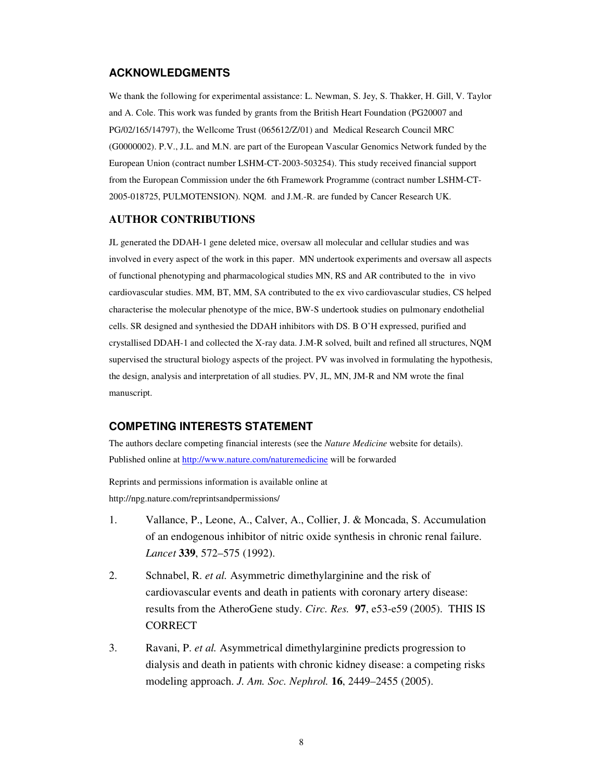## **ACKNOWLEDGMENTS**

We thank the following for experimental assistance: L. Newman, S. Jey, S. Thakker, H. Gill, V. Taylor and A. Cole. This work was funded by grants from the British Heart Foundation (PG20007 and PG/02/165/14797), the Wellcome Trust (065612/Z/01) and Medical Research Council MRC (G0000002). P.V., J.L. and M.N. are part of the European Vascular Genomics Network funded by the European Union (contract number LSHM-CT-2003-503254). This study received financial support from the European Commission under the 6th Framework Programme (contract number LSHM-CT-2005-018725, PULMOTENSION). NQM. and J.M.-R. are funded by Cancer Research UK.

### **AUTHOR CONTRIBUTIONS**

JL generated the DDAH-1 gene deleted mice, oversaw all molecular and cellular studies and was involved in every aspect of the work in this paper. MN undertook experiments and oversaw all aspects of functional phenotyping and pharmacological studies MN, RS and AR contributed to the in vivo cardiovascular studies. MM, BT, MM, SA contributed to the ex vivo cardiovascular studies, CS helped characterise the molecular phenotype of the mice, BW-S undertook studies on pulmonary endothelial cells. SR designed and synthesied the DDAH inhibitors with DS. B O'H expressed, purified and crystallised DDAH-1 and collected the X-ray data. J.M-R solved, built and refined all structures, NQM supervised the structural biology aspects of the project. PV was involved in formulating the hypothesis, the design, analysis and interpretation of all studies. PV, JL, MN, JM-R and NM wrote the final manuscript.

#### **COMPETING INTERESTS STATEMENT**

The authors declare competing financial interests (see the *Nature Medicine* website for details). Published online at http://www.nature.com/naturemedicine will be forwarded

Reprints and permissions information is available online at http://npg.nature.com/reprintsandpermissions/

- 1. Vallance, P., Leone, A., Calver, A., Collier, J. & Moncada, S. Accumulation of an endogenous inhibitor of nitric oxide synthesis in chronic renal failure. *Lancet* **339**, 572–575 (1992).
- 2. Schnabel, R. *et al.* Asymmetric dimethylarginine and the risk of cardiovascular events and death in patients with coronary artery disease: results from the AtheroGene study. *Circ. Res.* **97**, e53-e59 (2005). THIS IS **CORRECT**
- 3. Ravani, P. *et al.* Asymmetrical dimethylarginine predicts progression to dialysis and death in patients with chronic kidney disease: a competing risks modeling approach. *J. Am. Soc. Nephrol.* **16**, 2449–2455 (2005).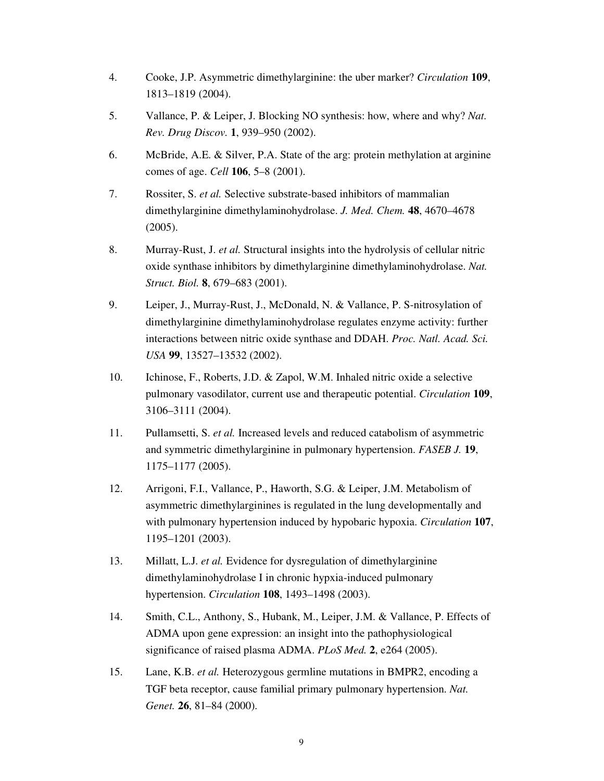- 4. Cooke, J.P. Asymmetric dimethylarginine: the uber marker? *Circulation* **109**, 1813–1819 (2004).
- 5. Vallance, P. & Leiper, J. Blocking NO synthesis: how, where and why? *Nat. Rev. Drug Discov.* **1**, 939–950 (2002).
- 6. McBride, A.E. & Silver, P.A. State of the arg: protein methylation at arginine comes of age. *Cell* **106**, 5–8 (2001).
- 7. Rossiter, S. *et al.* Selective substrate-based inhibitors of mammalian dimethylarginine dimethylaminohydrolase. *J. Med. Chem.* **48**, 4670–4678 (2005).
- 8. Murray-Rust, J. *et al.* Structural insights into the hydrolysis of cellular nitric oxide synthase inhibitors by dimethylarginine dimethylaminohydrolase. *Nat. Struct. Biol.* **8**, 679–683 (2001).
- 9. Leiper, J., Murray-Rust, J., McDonald, N. & Vallance, P. S-nitrosylation of dimethylarginine dimethylaminohydrolase regulates enzyme activity: further interactions between nitric oxide synthase and DDAH. *Proc. Natl. Acad. Sci. USA* **99**, 13527–13532 (2002).
- 10. Ichinose, F., Roberts, J.D. & Zapol, W.M. Inhaled nitric oxide a selective pulmonary vasodilator, current use and therapeutic potential. *Circulation* **109**, 3106–3111 (2004).
- 11. Pullamsetti, S. *et al.* Increased levels and reduced catabolism of asymmetric and symmetric dimethylarginine in pulmonary hypertension. *FASEB J.* **19**, 1175–1177 (2005).
- 12. Arrigoni, F.I., Vallance, P., Haworth, S.G. & Leiper, J.M. Metabolism of asymmetric dimethylarginines is regulated in the lung developmentally and with pulmonary hypertension induced by hypobaric hypoxia. *Circulation* **107**, 1195–1201 (2003).
- 13. Millatt, L.J. *et al.* Evidence for dysregulation of dimethylarginine dimethylaminohydrolase I in chronic hypxia-induced pulmonary hypertension. *Circulation* **108**, 1493–1498 (2003).
- 14. Smith, C.L., Anthony, S., Hubank, M., Leiper, J.M. & Vallance, P. Effects of ADMA upon gene expression: an insight into the pathophysiological significance of raised plasma ADMA. *PLoS Med.* **2**, e264 (2005).
- 15. Lane, K.B. *et al.* Heterozygous germline mutations in BMPR2, encoding a TGF beta receptor, cause familial primary pulmonary hypertension. *Nat. Genet.* **26**, 81–84 (2000).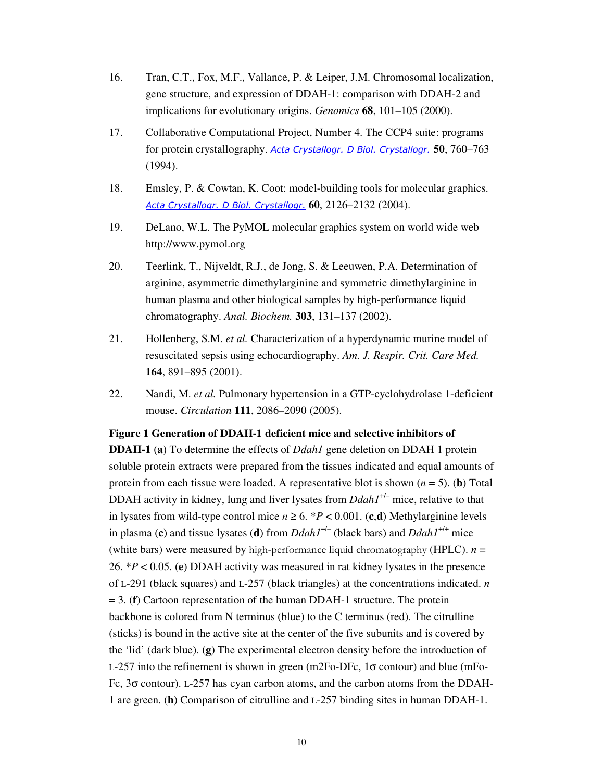- 16. Tran, C.T., Fox, M.F., Vallance, P. & Leiper, J.M. Chromosomal localization, gene structure, and expression of DDAH-1: comparison with DDAH-2 and implications for evolutionary origins. *Genomics* **68**, 101–105 (2000).
- 17. Collaborative Computational Project, Number 4. The CCP4 suite: programs for protein crystallography. Acta Crystallogr. D Biol. Crystallogr. **50**, 760–763 (1994).
- 18. Emsley, P. & Cowtan, K. Coot: model-building tools for molecular graphics. Acta Crystallogr. D Biol. Crystallogr. **60**, 2126–2132 (2004).
- 19. DeLano, W.L. The PyMOL molecular graphics system on world wide web http://www.pymol.org
- 20. Teerlink, T., Nijveldt, R.J., de Jong, S. & Leeuwen, P.A. Determination of arginine, asymmetric dimethylarginine and symmetric dimethylarginine in human plasma and other biological samples by high-performance liquid chromatography. *Anal. Biochem.* **303**, 131–137 (2002).
- 21. Hollenberg, S.M. *et al.* Characterization of a hyperdynamic murine model of resuscitated sepsis using echocardiography. *Am. J. Respir. Crit. Care Med.* **164**, 891–895 (2001).
- 22. Nandi, M. *et al.* Pulmonary hypertension in a GTP-cyclohydrolase 1-deficient mouse. *Circulation* **111**, 2086–2090 (2005).

## **Figure 1 Generation of DDAH-1 deficient mice and selective inhibitors of**

**DDAH-1** (**a**) To determine the effects of *Ddah1* gene deletion on DDAH 1 protein soluble protein extracts were prepared from the tissues indicated and equal amounts of protein from each tissue were loaded. A representative blot is shown  $(n = 5)$ . (**b**) Total DDAH activity in kidney, lung and liver lysates from *Ddah1<sup>+/-</sup>* mice, relative to that in lysates from wild-type control mice  $n \ge 6$ . \* $P < 0.001$ . (c,d) Methylarginine levels in plasma (c) and tissue lysates (d) from  $Ddah1^{+/-}$  (black bars) and  $Ddah1^{+/+}$  mice (white bars) were measured by high-performance liquid chromatography (HPLC).  $n =$ 26. \**P* < 0.05. (**e**) DDAH activity was measured in rat kidney lysates in the presence of L-291 (black squares) and L-257 (black triangles) at the concentrations indicated. *n* = 3. (**f**) Cartoon representation of the human DDAH-1 structure. The protein backbone is colored from N terminus (blue) to the C terminus (red). The citrulline (sticks) is bound in the active site at the center of the five subunits and is covered by the 'lid' (dark blue). **(g)** The experimental electron density before the introduction of L-257 into the refinement is shown in green (m2Fo-DFc,  $1\sigma$  contour) and blue (mFo-Fc, 3σ contour). L-257 has cyan carbon atoms, and the carbon atoms from the DDAH-1 are green. (**h**) Comparison of citrulline and L-257 binding sites in human DDAH-1.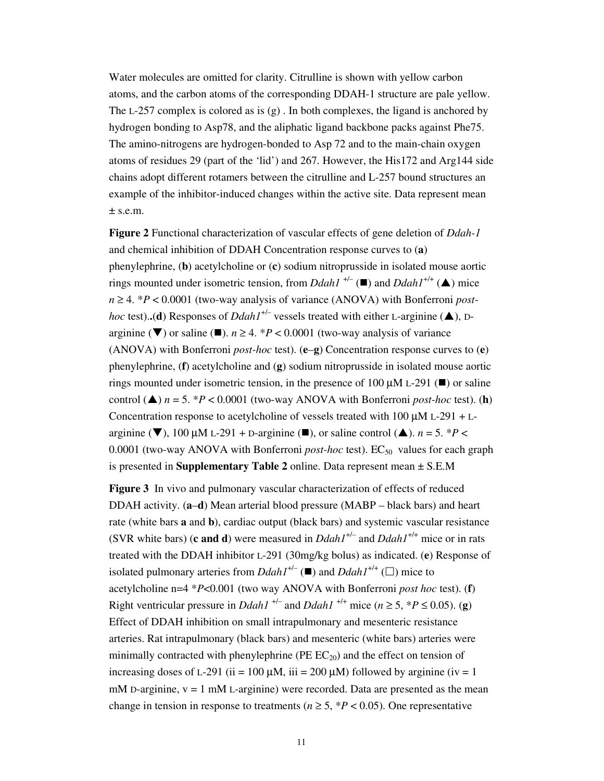Water molecules are omitted for clarity. Citrulline is shown with yellow carbon atoms, and the carbon atoms of the corresponding DDAH-1 structure are pale yellow. The L-257 complex is colored as is  $(g)$ . In both complexes, the ligand is anchored by hydrogen bonding to Asp78, and the aliphatic ligand backbone packs against Phe75. The amino-nitrogens are hydrogen-bonded to Asp 72 and to the main-chain oxygen atoms of residues 29 (part of the 'lid') and 267. However, the His172 and Arg144 side chains adopt different rotamers between the citrulline and L-257 bound structures an example of the inhibitor-induced changes within the active site. Data represent mean  $±$  s.e.m.

**Figure 2** Functional characterization of vascular effects of gene deletion of *Ddah-1* and chemical inhibition of DDAH Concentration response curves to (**a**) phenylephrine, (**b**) acetylcholine or (**c**) sodium nitroprusside in isolated mouse aortic rings mounted under isometric tension, from *Ddah1*<sup>+/-</sup> ( $\blacksquare$ ) and *Ddah1*<sup>+/+</sup> ( $\blacktriangle$ ) mice  $n \geq 4$ . \*P < 0.0001 (two-way analysis of variance (ANOVA) with Bonferroni *posthoc* test)..(**d**) Responses of *Ddah1<sup>+/-</sup>* vessels treated with either L-arginine ( $\triangle$ ), Darginine ( $\nabla$ ) or saline ( $\square$ ).  $n \ge 4$ . *\*P* < 0.0001 (two-way analysis of variance (ANOVA) with Bonferroni *post-hoc* test). (**e**–**g**) Concentration response curves to (**e**) phenylephrine, (**f**) acetylcholine and (**g**) sodium nitroprusside in isolated mouse aortic rings mounted under isometric tension, in the presence of 100  $\mu$ M L-291 ( $\blacksquare$ ) or saline control  $(\triangle)$  *n* = 5. \**P* < 0.0001 (two-way ANOVA with Bonferroni *post-hoc* test). (**h**) Concentration response to acetylcholine of vessels treated with  $100 \mu M L-291 + L$ arginine ( $\nabla$ ), 100  $\mu$ M L-291 + D-arginine ( $\square$ ), or saline control ( $\triangle$ ). *n* = 5. \**P* < 0.0001 (two-way ANOVA with Bonferroni *post-hoc* test). EC<sub>50</sub> values for each graph is presented in **Supplementary Table 2** online. Data represent mean ± S.E.M

**Figure 3** In vivo and pulmonary vascular characterization of effects of reduced DDAH activity. (**a**–**d**) Mean arterial blood pressure (MABP – black bars) and heart rate (white bars **a** and **b**), cardiac output (black bars) and systemic vascular resistance (SVR white bars) (**c** and **d**) were measured in  $Ddah1^{+/-}$  and  $Ddah1^{+/+}$  mice or in rats treated with the DDAH inhibitor L-291 (30mg/kg bolus) as indicated. (**e**) Response of isolated pulmonary arteries from  $DdahI^{+/-}$  ( $\blacksquare$ ) and  $DdahI^{+/+}$  ( $\square$ ) mice to acetylcholine n=4 \**P*<0.001 (two way ANOVA with Bonferroni *post hoc* test). (**f**) Right ventricular pressure in *Ddah1*<sup> $+/-$ </sup> and *Ddah1*<sup> $+/+$ </sup> mice ( $n \ge 5$ ,  $*P \le 0.05$ ). (**g**) Effect of DDAH inhibition on small intrapulmonary and mesenteric resistance arteries. Rat intrapulmonary (black bars) and mesenteric (white bars) arteries were minimally contracted with phenylephrine ( $PE EC_{20}$ ) and the effect on tension of increasing doses of L-291 (ii = 100  $\mu$ M, iii = 200  $\mu$ M) followed by arginine (iv = 1 mM D-arginine,  $v = 1$  mM L-arginine) were recorded. Data are presented as the mean change in tension in response to treatments ( $n \ge 5$ ,  $*P < 0.05$ ). One representative